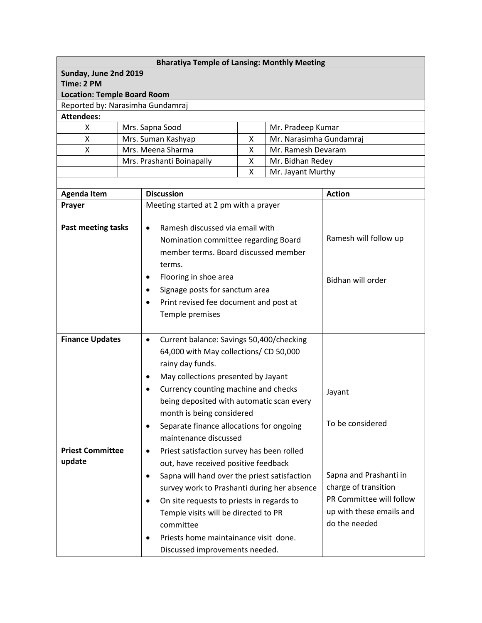| <b>Bharatiya Temple of Lansing: Monthly Meeting</b> |                                                         |                                                                         |  |                                              |                                           |  |  |  |
|-----------------------------------------------------|---------------------------------------------------------|-------------------------------------------------------------------------|--|----------------------------------------------|-------------------------------------------|--|--|--|
| Sunday, June 2nd 2019                               |                                                         |                                                                         |  |                                              |                                           |  |  |  |
| Time: 2 PM                                          |                                                         |                                                                         |  |                                              |                                           |  |  |  |
| <b>Location: Temple Board Room</b>                  |                                                         |                                                                         |  |                                              |                                           |  |  |  |
| Reported by: Narasimha Gundamraj                    |                                                         |                                                                         |  |                                              |                                           |  |  |  |
| <b>Attendees:</b>                                   |                                                         |                                                                         |  |                                              |                                           |  |  |  |
| X                                                   | Mrs. Sapna Sood                                         |                                                                         |  | Mr. Pradeep Kumar<br>Mr. Narasimha Gundamraj |                                           |  |  |  |
| X<br>Χ                                              |                                                         | Mrs. Suman Kashyap<br>X<br>Mrs. Meena Sharma<br>Χ<br>Mr. Ramesh Devaram |  |                                              |                                           |  |  |  |
|                                                     |                                                         | Mrs. Prashanti Boinapally<br>Mr. Bidhan Redey<br>X                      |  |                                              |                                           |  |  |  |
|                                                     |                                                         | X<br>Mr. Jayant Murthy                                                  |  |                                              |                                           |  |  |  |
|                                                     |                                                         |                                                                         |  |                                              |                                           |  |  |  |
| <b>Agenda Item</b>                                  |                                                         | <b>Discussion</b>                                                       |  |                                              | <b>Action</b>                             |  |  |  |
| Prayer                                              |                                                         | Meeting started at 2 pm with a prayer                                   |  |                                              |                                           |  |  |  |
|                                                     |                                                         |                                                                         |  |                                              |                                           |  |  |  |
| <b>Past meeting tasks</b>                           |                                                         | Ramesh discussed via email with<br>$\bullet$                            |  |                                              |                                           |  |  |  |
|                                                     |                                                         | Nomination committee regarding Board                                    |  |                                              | Ramesh will follow up                     |  |  |  |
|                                                     |                                                         | member terms. Board discussed member                                    |  |                                              |                                           |  |  |  |
|                                                     |                                                         | terms.                                                                  |  |                                              |                                           |  |  |  |
|                                                     |                                                         | Flooring in shoe area<br>٠                                              |  |                                              | Bidhan will order                         |  |  |  |
|                                                     |                                                         | Signage posts for sanctum area<br>$\bullet$                             |  |                                              |                                           |  |  |  |
|                                                     |                                                         | Print revised fee document and post at<br>٠                             |  |                                              |                                           |  |  |  |
|                                                     |                                                         | Temple premises                                                         |  |                                              |                                           |  |  |  |
|                                                     |                                                         |                                                                         |  |                                              |                                           |  |  |  |
| <b>Finance Updates</b>                              |                                                         | Current balance: Savings 50,400/checking<br>$\bullet$                   |  |                                              |                                           |  |  |  |
|                                                     |                                                         | 64,000 with May collections/ CD 50,000                                  |  |                                              |                                           |  |  |  |
|                                                     |                                                         | rainy day funds.                                                        |  |                                              |                                           |  |  |  |
|                                                     |                                                         | May collections presented by Jayant<br>٠                                |  |                                              |                                           |  |  |  |
|                                                     |                                                         | Currency counting machine and checks                                    |  |                                              |                                           |  |  |  |
|                                                     |                                                         | being deposited with automatic scan every                               |  |                                              | Jayant                                    |  |  |  |
|                                                     |                                                         | month is being considered                                               |  |                                              |                                           |  |  |  |
|                                                     |                                                         | Separate finance allocations for ongoing<br>$\bullet$                   |  |                                              | To be considered                          |  |  |  |
|                                                     |                                                         | maintenance discussed                                                   |  |                                              |                                           |  |  |  |
| <b>Priest Committee</b>                             |                                                         |                                                                         |  |                                              |                                           |  |  |  |
| update                                              | Priest satisfaction survey has been rolled<br>$\bullet$ |                                                                         |  |                                              |                                           |  |  |  |
|                                                     |                                                         | out, have received positive feedback                                    |  |                                              | Sapna and Prashanti in                    |  |  |  |
|                                                     |                                                         | Sapna will hand over the priest satisfaction<br>$\bullet$               |  |                                              | charge of transition                      |  |  |  |
|                                                     |                                                         | survey work to Prashanti during her absence                             |  |                                              | PR Committee will follow                  |  |  |  |
|                                                     |                                                         | On site requests to priests in regards to<br>$\bullet$                  |  |                                              |                                           |  |  |  |
|                                                     |                                                         | Temple visits will be directed to PR                                    |  |                                              | up with these emails and<br>do the needed |  |  |  |
|                                                     |                                                         | committee                                                               |  |                                              |                                           |  |  |  |
|                                                     |                                                         | Priests home maintainance visit done.<br>٠                              |  |                                              |                                           |  |  |  |
|                                                     |                                                         | Discussed improvements needed.                                          |  |                                              |                                           |  |  |  |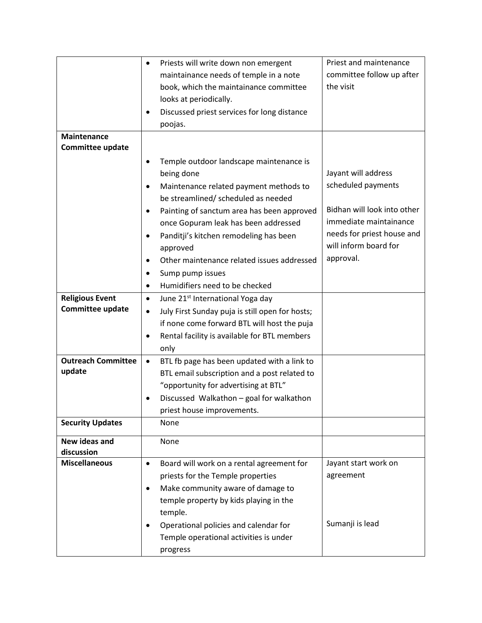|                           | Priests will write down non emergent<br>$\bullet$            | Priest and maintenance      |
|---------------------------|--------------------------------------------------------------|-----------------------------|
|                           | maintainance needs of temple in a note                       | committee follow up after   |
|                           | book, which the maintainance committee                       | the visit                   |
|                           | looks at periodically.                                       |                             |
|                           | Discussed priest services for long distance<br>$\bullet$     |                             |
|                           | poojas.                                                      |                             |
| <b>Maintenance</b>        |                                                              |                             |
| <b>Committee update</b>   |                                                              |                             |
|                           | Temple outdoor landscape maintenance is<br>$\bullet$         |                             |
|                           | being done                                                   | Jayant will address         |
|                           | Maintenance related payment methods to<br>$\bullet$          | scheduled payments          |
|                           | be streamlined/ scheduled as needed                          |                             |
|                           | Painting of sanctum area has been approved<br>$\bullet$      | Bidhan will look into other |
|                           | once Gopuram leak has been addressed                         | immediate maintainance      |
|                           | Panditji's kitchen remodeling has been<br>$\bullet$          | needs for priest house and  |
|                           | approved                                                     | will inform board for       |
|                           | Other maintenance related issues addressed<br>$\bullet$      | approval.                   |
|                           | Sump pump issues<br>$\bullet$                                |                             |
|                           | Humidifiers need to be checked<br>$\bullet$                  |                             |
| <b>Religious Event</b>    | June 21 <sup>st</sup> International Yoga day<br>$\bullet$    |                             |
| <b>Committee update</b>   | July First Sunday puja is still open for hosts;<br>$\bullet$ |                             |
|                           | if none come forward BTL will host the puja                  |                             |
|                           | Rental facility is available for BTL members<br>$\bullet$    |                             |
|                           | only                                                         |                             |
| <b>Outreach Committee</b> | BTL fb page has been updated with a link to<br>$\bullet$     |                             |
| update                    | BTL email subscription and a post related to                 |                             |
|                           | "opportunity for advertising at BTL"                         |                             |
|                           | Discussed Walkathon - goal for walkathon<br>$\bullet$        |                             |
|                           | priest house improvements.                                   |                             |
| <b>Security Updates</b>   | None                                                         |                             |
| New ideas and             | None                                                         |                             |
| discussion                |                                                              |                             |
| <b>Miscellaneous</b>      | Board will work on a rental agreement for<br>$\bullet$       | Jayant start work on        |
|                           | priests for the Temple properties                            | agreement                   |
|                           | Make community aware of damage to<br>$\bullet$               |                             |
|                           | temple property by kids playing in the                       |                             |
|                           | temple.                                                      |                             |
|                           | Operational policies and calendar for<br>$\bullet$           | Sumanji is lead             |
|                           | Temple operational activities is under                       |                             |
|                           | progress                                                     |                             |